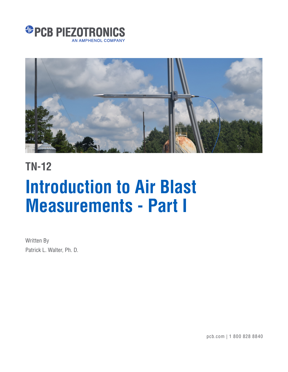



## **TN-12**

# **Introduction to Air Blast Measurements - Part I**

Written By Patrick L. Walter, Ph. D.

pcb.com | 1 800 828 8840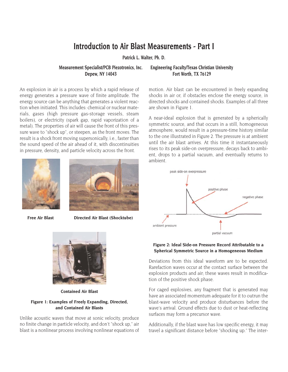## **Introduction to Air Blast Measurements - Part I**

**Patrick L. Walter, Ph. D.**

An explosion in air is a process by which a rapid release of energy generates a pressure wave of finite amplitude. The energy source can be anything that generates a violent reaction when initiated. This includes: chemical or nuclear materials, gases (high pressure gas-storage vessels, steam boilers), or electricity (spark gap, rapid vaporization of a metal). The properties of air will cause the front of this pressure wave to "shock up", or steepen, as the front moves. The result is a shock front moving supersonically, i.e., faster than the sound speed of the air ahead of it, with discontinuities in pressure, density, and particle velocity across the front.



**Free Air Blast Directed Air Blast (Shocktube)**



**Contained Air Blast**

#### **Figure 1: Examples of Freely Expanding, Directed, and Contained Air Blasts**

Unlike acoustic waves that move at sonic velocity, produce no finite change in particle velocity, and don't "shock up," air blast is a nonlinear process involving nonlinear equations of

### **Measurement Specialist/PCB Piezotronics, Inc. Engineering Faculty/Texas Christian University Depew, NY 14043 Fort Worth, TX 76129**

motion. Air blast can be encountered in freely expanding shocks in air or, if obstacles enclose the energy source, in directed shocks and contained shocks. Examples of all three are shown in Figure 1.

A near-ideal explosion that is generated by a spherically symmetric source, and that occurs in a still, homogeneous atmosphere, would result in a pressure-time history similar to the one illustrated in Figure 2. The pressure is at ambient until the air blast arrives. At this time it instantaneously rises to its peak side-on overpressure, decays back to ambient, drops to a partial vacuum, and eventually returns to ambient.



#### **Figure 2: Ideal Side-on Pressure Record Attributable to a Spherical Symmetric Source in a Homogeneous Medium**

Deviations from this ideal waveform are to be expected. Rarefaction waves occur at the contact surface between the explosion products and air; these waves result in modification of the positive shock phase.

For caged explosives, any fragment that is generated may have an associated momentum adequate for it to outrun the blast-wave velocity and produce disturbances before the wave's arrival. Ground effects due to dust or heat-reflecting surfaces may form a precursor wave.

Additionally, if the blast wave has low specific energy, it may travel a significant distance before "shocking up." The inter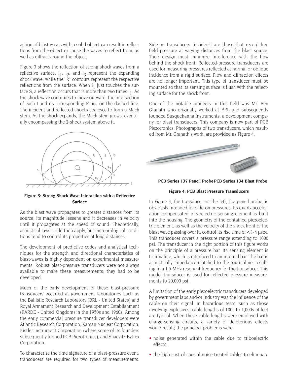action of blast waves with a solid object can result in reflections from the object or cause the waves to reflect from, as well as diffract around the object.

Figure 3 shows the reflection of strong shock waves from a reflective surface.  $I_1$ ,  $I_2$ , and  $I_3$  represent the expanding shock wave, while the "R" contours represent the respective reflections from the surface. When  $I_1$  just touches the surface S, a reflection occurs that is more than two times  $I_1$ . As the shock wave continues to move outward, the intersection of each I and its corresponding R lies on the dashed line. The incident and reflected shocks coalesce to form a Mach stem. As the shock expands, the Mach stem grows, eventually encompassing the 2-shock system above it.



**Figure 3: Strong Shock Wave Interaction with a Reflective Surface**

As the blast wave propagates to greater distances from its source, its magnitude lessens and it decreases in velocity until it propagates at the speed of sound. Theoretically, acoustical laws could then apply, but meteorological conditions tend to control its properties at long distances.

The development of predictive codes and analytical techniques for the strength and directional characteristics of blast-waves is highly dependent on experimental measurements. Robust blast-pressure transducers were not always available to make these measurements; they had to be developed.

Much of the early development of these blast-pressure transducers occurred at government laboratories such as the Ballistic Research Laboratory (BRL - United States) and Royal Armament Research and Development Establishment (RARDE - United Kingdom) in the 1950s and 1960s. Among the early commercial pressure transducer developers were Atlantic Research Corporation, Kaman Nuclear Corporation, Kistler Instrument Corporation (where some of its founders subsequently formed PCB Piezotronics), and Shaevitz-Bytrex Corporation.

To characterize the time signature of a blast-pressure event, transducers are required for two types of measurements.

Side-on transducers (incident) are those that record free field pressure at varying distances from the blast source. Their design must minimize interference with the flow behind the shock front. Reflected-pressure transducers are used for measuring pressures reflected at normal or oblique incidence from a rigid surface. Flow and diffraction effects are no longer important. This type of transducer must be mounted so that its sensing surface is flush with the reflecting surface for the shock front.

One of the notable pioneers in this field was Mr. Ben Granath who originally worked at BRL and subsequently founded Susquehanna Instruments, a development company for blast transducers. This company is now part of PCB Piezotronics. Photographs of two transducers, which resulted from Mr. Granath's work, are provided as Figure 4.



**PCB Series 137 Pencil ProbePCB Series 134 Blast Probe**

#### **Figure 4: PCB Blast Pressure Transducers**

In Figure 4, the transducer on the left, the pencil probe, is obviously intended for side-on pressures. Its quartz acceleration compensated piezoelectric sensing element is built into the housing. The geometry of the contained piezoelectric element, as well as the velocity of the shock front of the blast wave passing over it, control its rise time of  $< 1-4$  usec. This transducer covers a pressure range extending to 1000 psi. The transducer in the right portion of this figure works on the principle of a pressure bar. Its sensing element is tourmaline, which is interfaced to an internal bar. The bar is acoustically impedance-matched to the tourmaline, resulting in a 1.5-MHz resonant frequency for the transducer. This model transducer is used for reflected pressure measurements to 20,000 psi.

A limitation of the early piezoelectric transducers developed by government labs and/or industry was the influence of the cable on their signal. In hazardous tests, such as those involving explosives, cable lengths of 100s to 1,000s of feet are typical. When these cable lengths were employed with charge-sensing circuits, a variety of deleterious effects would result; the principal problems were:

- noise generated within the cable due to triboelectric effects,
- the high cost of special noise-treated cables to eliminate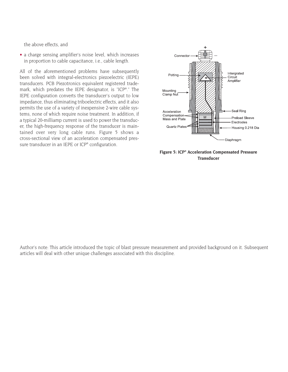the above effects, and

• a charge sensing amplifier's noise level, which increases in proportion to cable capacitance, i.e., cable length.

All of the aforementioned problems have subsequently been solved with integral-electronics piezoelectric (IEPE) transducers. PCB Piezotronics equivalent registered trademark, which predates the IEPE designator, is "ICP®." The IEPE configuration converts the transducer's output to low impedance, thus eliminating triboelectric effects, and it also permits the use of a variety of inexpensive 2-wire cable systems, none of which require noise treatment. In addition, if a typical 20-milliamp current is used to power the transducer, the high-frequency response of the transducer is maintained over very long cable runs. Figure 5 shows a cross-sectional view of an acceleration compensated pressure transducer in an IEPE or ICP® configuration.





Author's note: This article introduced the topic of blast pressure measurement and provided background on it. Subsequent articles will deal with other unique challenges associated with this discipline.